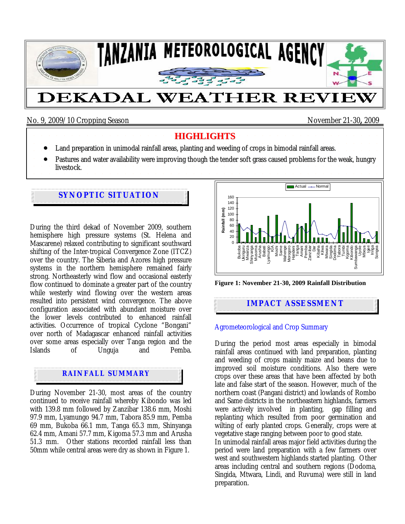

# No. 9, 2009/10 Cropping Season November 21-30**,** 2009

#### **HIGHLIGHTS**

- Land preparation in unimodal rainfall areas, planting and weeding of crops in bimodal rainfall areas.
- Pastures and water availability were improving though the tender soft grass caused problems for the weak, hungry
- livestock.

## **SYNOPTIC SITUATION**

During the third dekad of November 2009, southern hemisphere high pressure systems (St. Helena and Mascarene) relaxed contributing to significant southward shifting of the Inter-tropical Convergence Zone (ITCZ) over the country. The Siberia and Azores high pressure systems in the northern hemisphere remained fairly strong. Northeasterly wind flow and occasional easterly flow continued to dominate a greater part of the country while westerly wind flowing over the western areas resulted into persistent wind convergence. The above configuration associated with abundant moisture over the lower levels contributed to enhanced rainfall activities. Occurrence of tropical Cyclone "Bongani" over north of Madagascar enhanced rainfall activities over some areas especially over Tanga region and the Unguja and

## **RAINFALL SUMMARY**

During November 21-30, most areas of the country continued to receive rainfall whereby Kibondo was led with 139.8 mm followed by Zanzibar 138.6 mm, Moshi 97.9 mm, Lyamungo 94.7 mm, Tabora 85.9 mm, Pemba 69 mm, Bukoba 66.1 mm, Tanga 65.3 mm, Shinyanga 62.4 mm, Amani 57.7 mm, Kigoma 57.3 mm and Arusha 51.3 mm. Other stations recorded rainfall less than 50mm while central areas were dry as shown in Figure 1.



**Figure 1: November 21-30, 2009 Rainfall Distribution** 

# **IMPACT ASSESSMENT**

#### Agrometeorological and Crop Summary

During the period most areas especially in bimodal rainfall areas continued with land preparation, planting and weeding of crops mainly maize and beans due to improved soil moisture conditions. Also there were crops over these areas that have been affected by both late and false start of the season. However, much of the northern coast (Pangani district) and lowlands of Rombo and Same districts in the northeastern highlands, farmers were actively involved in planting, gap filling and replanting which resulted from poor germination and wilting of early planted crops. Generally, crops were at vegetative stage ranging between poor to good state.

In unimodal rainfall areas major field activities during the period were land preparation with a few farmers over west and southwestern highlands started planting. Other areas including central and southern regions (Dodoma, Singida, Mtwara, Lindi, and Ruvuma) were still in land preparation.